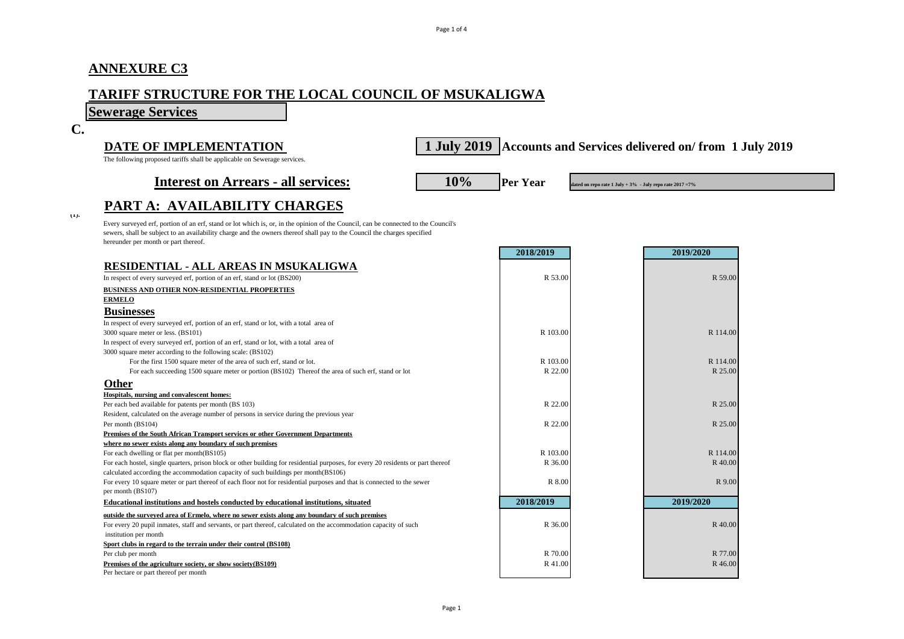## **ANNEXURE C3**

# **TARIFF STRUCTURE FOR THE LOCAL COUNCIL OF MSUKALIGWA**

**Sewerage Services**

#### **C.**

The following proposed tariffs shall be applicable on Sewerage services.

**DATE OF IMPLEMENTATION 1 July 2019 Accounts and Services delivered on/ from 1 July 2019** 

**2018/2010 2018/2020** 

Interest on Arrears - all services: **10%** Per Year **Index on repo rate 1 July + 3%** - July repo rate 2017 =7%

# **PART A: AVAILABILITY CHARGES**

**(1).**

Every surveyed erf, portion of an erf, stand or lot which is, or, in the opinion of the Council, can be connected to the Council's sewers, shall be subject to an availability charge and the owners thereof shall pay to the Council the charges specified hereunder per month or part thereof.

|                                                                                                                                   | 2010/2019 | 2019/2020 |
|-----------------------------------------------------------------------------------------------------------------------------------|-----------|-----------|
| <b>RESIDENTIAL - ALL AREAS IN MSUKALIGWA</b>                                                                                      |           |           |
| In respect of every surveyed erf, portion of an erf, stand or lot (BS200)                                                         | R 53.00   | R 59.00   |
| BUSINESS AND OTHER NON-RESIDENTIAL PROPERTIES                                                                                     |           |           |
| <b>ERMELO</b>                                                                                                                     |           |           |
| <b>Businesses</b>                                                                                                                 |           |           |
| In respect of every surveyed erf, portion of an erf, stand or lot, with a total area of                                           |           |           |
| 3000 square meter or less. (BS101)                                                                                                | R 103.00  | R 114.00  |
| In respect of every surveyed erf, portion of an erf, stand or lot, with a total area of                                           |           |           |
| 3000 square meter according to the following scale: (BS102)                                                                       |           |           |
| For the first 1500 square meter of the area of such erf, stand or lot.                                                            | R 103.00  | R 114.00  |
| For each succeeding 1500 square meter or portion (BS102) Thereof the area of such erf, stand or lot                               | R 22.00   | R 25.00   |
| <b>Other</b>                                                                                                                      |           |           |
| Hospitals, nursing and convalescent homes:                                                                                        |           |           |
| Per each bed available for patents per month (BS 103)                                                                             | R 22.00   | R 25.00   |
| Resident, calculated on the average number of persons in service during the previous year                                         |           |           |
| Per month (BS104)                                                                                                                 | R 22.00   | R 25.00   |
| Premises of the South African Transport services or other Government Departments                                                  |           |           |
| where no sewer exists along any boundary of such premises                                                                         |           |           |
| For each dwelling or flat per month(BS105)                                                                                        | R 103.00  | R 114.00  |
| For each hostel, single quarters, prison block or other building for residential purposes, for every 20 residents or part thereof | R 36.00   | R 40.00   |
| calculated according the accommodation capacity of such buildings per month(BS106)                                                |           |           |
| For every 10 square meter or part thereof of each floor not for residential purposes and that is connected to the sewer           | R 8.00    | R 9.00    |
| per month (BS107)                                                                                                                 |           |           |
| Educational institutions and hostels conducted by educational institutions, situated                                              | 2018/2019 | 2019/2020 |
| outside the surveyed area of Ermelo, where no sewer exists along any boundary of such premises                                    |           |           |
| For every 20 pupil inmates, staff and servants, or part thereof, calculated on the accommodation capacity of such                 | R 36.00   | R 40.00   |
| institution per month                                                                                                             |           |           |
| Sport clubs in regard to the terrain under their control (BS108)                                                                  |           |           |
| Per club per month                                                                                                                | R 70.00   | R 77.00   |
| Premises of the agriculture society, or show society(BS109)                                                                       | R 41.00   | R 46.00   |
| Per hectare or part thereof per month                                                                                             |           |           |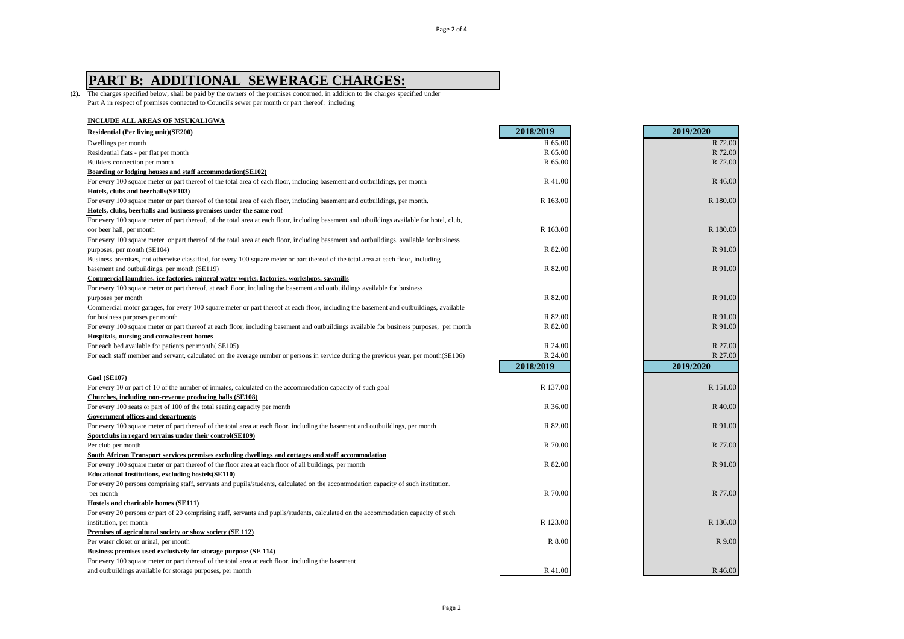# **PART B: ADDITIONAL SEWERAGE CHARGES:**

**(2).** The charges specified below, shall be paid by the owners of the premises concerned, in addition to the charges specified under Part A in respect of premises connected to Council's sewer per month or part thereof: including

| <b>INCLUDE ALL AREAS OF MSUKALIGWA</b>                                                                                                     |           |           |
|--------------------------------------------------------------------------------------------------------------------------------------------|-----------|-----------|
| Residential (Per living unit)(SE200)                                                                                                       | 2018/2019 | 2019/2020 |
| Dwellings per month                                                                                                                        | R 65.00   | R 72.00   |
| Residential flats - per flat per month                                                                                                     | R 65.00   | R 72.00   |
| Builders connection per month                                                                                                              | R 65.00   | R 72.00   |
| Boarding or lodging houses and staff accommodation(SE102)                                                                                  |           |           |
| For every 100 square meter or part thereof of the total area of each floor, including basement and outbuildings, per month                 | R 41.00   | R 46.00   |
| Hotels, clubs and beerhalls(SE103)                                                                                                         |           |           |
| For every 100 square meter or part thereof of the total area of each floor, including basement and outbuildings, per month.                | R 163.00  | R 180.00  |
| Hotels, clubs, beerhalls and business premises under the same roof                                                                         |           |           |
| For every 100 square meter of part thereof, of the total area at each floor, including basement and utbuildings available for hotel, club, |           |           |
| oor beer hall, per month                                                                                                                   | R 163.00  | R 180.00  |
| For every 100 square meter or part thereof of the total area at each floor, including basement and outbuildings, available for business    |           |           |
| purposes, per month (SE104)                                                                                                                | R 82.00   | R 91.00   |
| Business premises, not otherwise classified, for every 100 square meter or part thereof of the total area at each floor, including         |           |           |
| basement and outbuildings, per month (SE119)                                                                                               | R 82.00   | R 91.00   |
| Commercial laundries, ice factories, mineral water works, factories, workshops, sawmills                                                   |           |           |
| For every 100 square meter or part thereof, at each floor, including the basement and outbuildings available for business                  |           |           |
| purposes per month                                                                                                                         | R 82.00   | R 91.00   |
| Commercial motor garages, for every 100 square meter or part thereof at each floor, including the basement and outbuildings, available     |           |           |
| for business purposes per month                                                                                                            | R 82.00   | R 91.00   |
| For every 100 square meter or part thereof at each floor, including basement and outbuildings available for business purposes, per month   | R 82.00   | R 91.00   |
| Hospitals, nursing and convalescent homes                                                                                                  |           |           |
| For each bed available for patients per month(SE105)                                                                                       | R 24.00   | R 27.00   |
| For each staff member and servant, calculated on the average number or persons in service during the previous year, per month(SE106)       | R 24.00   | R 27.00   |
|                                                                                                                                            | 2018/2019 | 2019/2020 |
| <b>Gaol (SE107)</b>                                                                                                                        |           |           |
| For every 10 or part of 10 of the number of inmates, calculated on the accommodation capacity of such goal                                 | R 137.00  | R 151.00  |
| Churches, including non-revenue producing halls (SE108)                                                                                    |           |           |
| For every 100 seats or part of 100 of the total seating capacity per month                                                                 | R 36.00   | R 40.00   |
| Government offices and departments                                                                                                         |           |           |
| For every 100 square meter of part thereof of the total area at each floor, including the basement and outbuildings, per month             | R 82.00   | R 91.00   |
| Sportclubs in regard terrains under their control(SE109)                                                                                   |           |           |
| Per club per month                                                                                                                         | R 70.00   | R 77.00   |
| South African Transport services premises excluding dwellings and cottages and staff accommodation                                         |           |           |
| For every 100 square meter or part thereof of the floor area at each floor of all buildings, per month                                     | R 82.00   | R 91.00   |
| <b>Educational Institutions, excluding hostels(SE110)</b>                                                                                  |           |           |
| For every 20 persons comprising staff, servants and pupils/students, calculated on the accommodation capacity of such institution,         |           |           |
| per month                                                                                                                                  | R 70.00   | R 77.00   |
| Hostels and charitable homes (SE111)                                                                                                       |           |           |
| For every 20 persons or part of 20 comprising staff, servants and pupils/students, calculated on the accommodation capacity of such        |           |           |
| institution, per month                                                                                                                     | R 123.00  | R 136.00  |
|                                                                                                                                            |           |           |
| Premises of agricultural society or show society (SE 112)                                                                                  | R 8.00    | R 9.00    |
| Per water closet or urinal, per month                                                                                                      |           |           |
| Business premises used exclusively for storage purpose (SE 114)                                                                            |           |           |
| For every 100 square meter or part thereof of the total area at each floor, including the basement                                         | R 41.00   | R 46.00   |
| and outbuildings available for storage purposes, per month                                                                                 |           |           |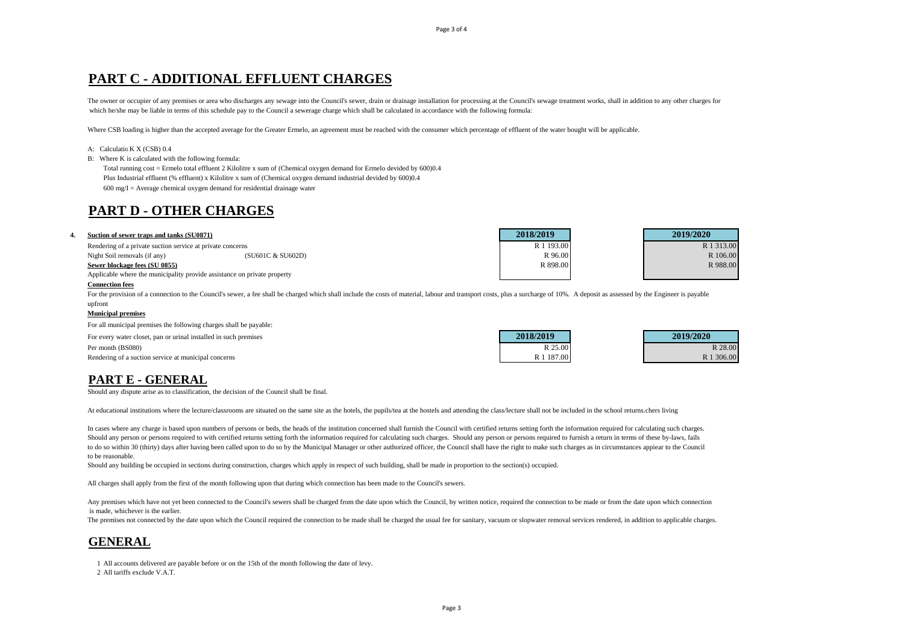# **PART C - ADDITIONAL EFFLUENT CHARGES**

The owner or occupier of any premises or area who discharges any sewage into the Council's sewer, drain or drainage installation for processing at the Council's sewage treatment works, shall in addition to any other charge which he/she may be liable in terms of this schedule pay to the Council a sewerage charge which shall be calculated in accordance with the following formula:

Where CSB loading is higher than the accepted average for the Greater Ermelo, an agreement must be reached with the consumer which percentage of effluent of the water bought will be applicable.

A: Calculatic K  $X$  (CSB) 0.4

B: Where K is calculated with the following formula:

Total running cost = Ermelo total effluent 2 Kilolitre x sum of (Chemical oxygen demand for Ermelo devided by 600)0.4 Plus Industrial effluent (% effluent) x Kilolitre x sum of (Chemical oxygen demand industrial devided by 600)0.4  $600 \text{ mg/I}$  = Average chemical oxygen demand for residential drainage water

## **PART D - OTHER CHARGES**

| Suction of sewer traps and tanks (SU0871)                                | 2018/2019  | 2019/2020  |
|--------------------------------------------------------------------------|------------|------------|
| Rendering of a private suction service at private concerns               | R 1 193.00 | R 1 313.00 |
| (SU601C & SU602D)<br>Night Soil removals (if any)                        | R 96.00    | R 106.00   |
| Sewer blockage fees (SU 0855)                                            | R 898.00   | R 988.00   |
| Applicable where the municipality provide assistance on private property |            |            |

#### **Connection fees**

For the provision of a connection to the Council's sewer, a fee shall be charged which shall include the costs of material, labour and transport costs, plus a surcharge of 10%. A deposit as assessed by the Engineer is paya upfront

#### **Municipal premises**

| For all municipal premises the following charges shall be payable: |            |            |
|--------------------------------------------------------------------|------------|------------|
| For every water closet, pan or urinal installed in such premises   | 2018/2019  | 2019/2020  |
| Per month (BS080)                                                  | R 25.00    | R 28.00    |
| Rendering of a suction service at municipal concerns               | R 1 187.00 | R 1 306.00 |

#### **PART E - GENERAL**

Should any dispute arise as to classification, the decision of the Council shall be final.

At educational institutions where the lecture/classrooms are situated on the same site as the hotels, the pupils/tea at the hostels and attending the class/lecture shall not be included in the school returns.chers living

In cases where any charge is based upon numbers of persons or beds, the heads of the institution concerned shall furnish the Council with certified returns setting forth the information required for calculating such charges. Should any person or persons required to with certified returns setting forth the information required for calculating such charges. Should any person or persons required to furnish a return in terms of these by-laws, fails to do so within 30 (thirty) days after having been called upon to do so by the Municipal Manager or other authorized officer, the Council shall have the right to make such charges as in circumstances appiear to the Council to be reasonable.

Should any building be occupied in sections during construction, charges which apply in respect of such building, shall be made in proportion to the section(s) occupied.

All charges shall apply from the first of the month following upon that during which connection has been made to the Council's sewers.

Any premises which have not yet been connected to the Council's sewers shall be charged from the date upon which the Council, by written notice, required the connection to be made or from the date upon which connection is made, whichever is the earlier.

The premises not connected by the date upon which the Council required the connection to be made shall be charged the usual fee for sanitary, vacuum or slopwater removal services rendered, in addition to applicable charges.

## **GENERAL**

1 All accounts delivered are payable before or on the 15th of the month following the date of levy.

2 All tariffs exclude V.A.T.